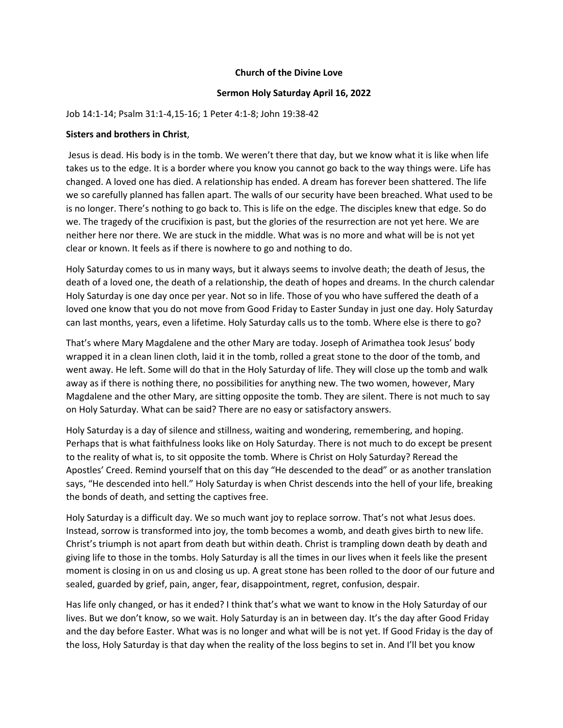## **Church of the Divine Love**

## **Sermon Holy Saturday April 16, 2022**

## Job 14:1-14; Psalm 31:1-4,15-16; 1 Peter 4:1-8; John 19:38-42

## **Sisters and brothers in Christ**,

Jesus is dead. His body is in the tomb. We weren't there that day, but we know what it is like when life takes us to the edge. It is a border where you know you cannot go back to the way things were. Life has changed. A loved one has died. A relationship has ended. A dream has forever been shattered. The life we so carefully planned has fallen apart. The walls of our security have been breached. What used to be is no longer. There's nothing to go back to. This is life on the edge. The disciples knew that edge. So do we. The tragedy of the crucifixion is past, but the glories of the resurrection are not yet here. We are neither here nor there. We are stuck in the middle. What was is no more and what will be is not yet clear or known. It feels as if there is nowhere to go and nothing to do.

Holy Saturday comes to us in many ways, but it always seems to involve death; the death of Jesus, the death of a loved one, the death of a relationship, the death of hopes and dreams. In the church calendar Holy Saturday is one day once per year. Not so in life. Those of you who have suffered the death of a loved one know that you do not move from Good Friday to Easter Sunday in just one day. Holy Saturday can last months, years, even a lifetime. Holy Saturday calls us to the tomb. Where else is there to go?

That's where Mary Magdalene and the other Mary are today. Joseph of Arimathea took Jesus' body wrapped it in a clean linen cloth, laid it in the tomb, rolled a great stone to the door of the tomb, and went away. He left. Some will do that in the Holy Saturday of life. They will close up the tomb and walk away as if there is nothing there, no possibilities for anything new. The two women, however, Mary Magdalene and the other Mary, are sitting opposite the tomb. They are silent. There is not much to say on Holy Saturday. What can be said? There are no easy or satisfactory answers.

Holy Saturday is a day of silence and stillness, waiting and wondering, remembering, and hoping. Perhaps that is what faithfulness looks like on Holy Saturday. There is not much to do except be present to the reality of what is, to sit opposite the tomb. Where is Christ on Holy Saturday? Reread the Apostles' Creed. Remind yourself that on this day "He descended to the dead" or as another translation says, "He descended into hell." Holy Saturday is when Christ descends into the hell of your life, breaking the bonds of death, and setting the captives free.

Holy Saturday is a difficult day. We so much want joy to replace sorrow. That's not what Jesus does. Instead, sorrow is transformed into joy, the tomb becomes a womb, and death gives birth to new life. Christ's triumph is not apart from death but within death. Christ is trampling down death by death and giving life to those in the tombs. Holy Saturday is all the times in our lives when it feels like the present moment is closing in on us and closing us up. A great stone has been rolled to the door of our future and sealed, guarded by grief, pain, anger, fear, disappointment, regret, confusion, despair.

Has life only changed, or has it ended? I think that's what we want to know in the Holy Saturday of our lives. But we don't know, so we wait. Holy Saturday is an in between day. It's the day after Good Friday and the day before Easter. What was is no longer and what will be is not yet. If Good Friday is the day of the loss, Holy Saturday is that day when the reality of the loss begins to set in. And I'll bet you know